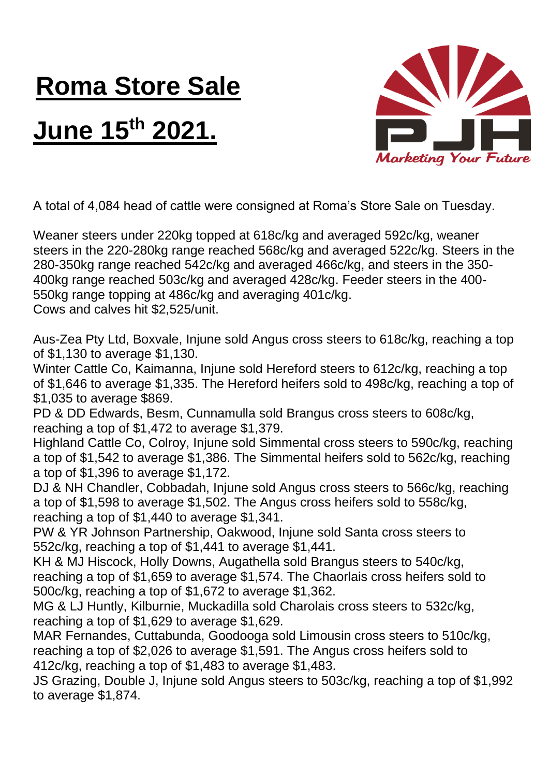## **Roma Store Sale**

## **June 15th 2021.**



A total of 4,084 head of cattle were consigned at Roma's Store Sale on Tuesday.

Weaner steers under 220kg topped at 618c/kg and averaged 592c/kg, weaner steers in the 220-280kg range reached 568c/kg and averaged 522c/kg. Steers in the 280-350kg range reached 542c/kg and averaged 466c/kg, and steers in the 350- 400kg range reached 503c/kg and averaged 428c/kg. Feeder steers in the 400- 550kg range topping at 486c/kg and averaging 401c/kg. Cows and calves hit \$2,525/unit.

Aus-Zea Pty Ltd, Boxvale, Injune sold Angus cross steers to 618c/kg, reaching a top of \$1,130 to average \$1,130.

Winter Cattle Co, Kaimanna, Injune sold Hereford steers to 612c/kg, reaching a top of \$1,646 to average \$1,335. The Hereford heifers sold to 498c/kg, reaching a top of \$1,035 to average \$869.

PD & DD Edwards, Besm, Cunnamulla sold Brangus cross steers to 608c/kg, reaching a top of \$1,472 to average \$1,379.

Highland Cattle Co, Colroy, Injune sold Simmental cross steers to 590c/kg, reaching a top of \$1,542 to average \$1,386. The Simmental heifers sold to 562c/kg, reaching a top of \$1,396 to average \$1,172.

DJ & NH Chandler, Cobbadah, Injune sold Angus cross steers to 566c/kg, reaching a top of \$1,598 to average \$1,502. The Angus cross heifers sold to 558c/kg, reaching a top of \$1,440 to average \$1,341.

PW & YR Johnson Partnership, Oakwood, Injune sold Santa cross steers to 552c/kg, reaching a top of \$1,441 to average \$1,441.

KH & MJ Hiscock, Holly Downs, Augathella sold Brangus steers to 540c/kg, reaching a top of \$1,659 to average \$1,574. The Chaorlais cross heifers sold to 500c/kg, reaching a top of \$1,672 to average \$1,362.

MG & LJ Huntly, Kilburnie, Muckadilla sold Charolais cross steers to 532c/kg, reaching a top of \$1,629 to average \$1,629.

MAR Fernandes, Cuttabunda, Goodooga sold Limousin cross steers to 510c/kg, reaching a top of \$2,026 to average \$1,591. The Angus cross heifers sold to 412c/kg, reaching a top of \$1,483 to average \$1,483.

JS Grazing, Double J, Injune sold Angus steers to 503c/kg, reaching a top of \$1,992 to average \$1,874.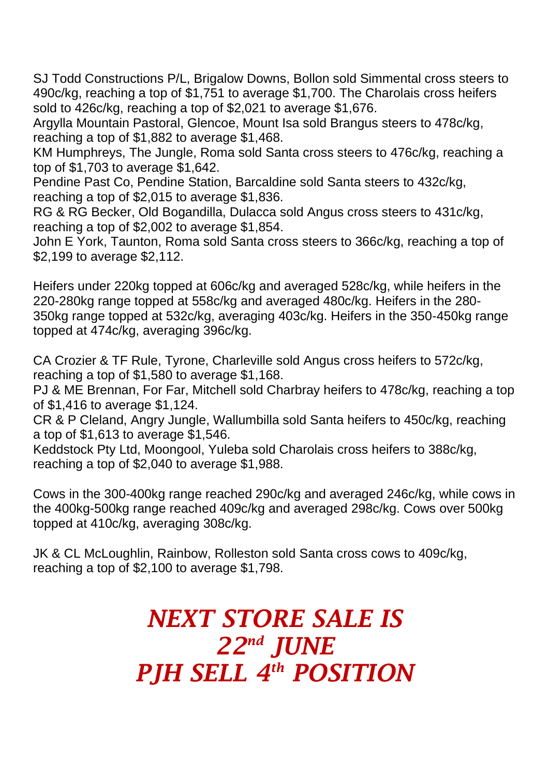SJ Todd Constructions P/L, Brigalow Downs, Bollon sold Simmental cross steers to 490c/kg, reaching a top of \$1,751 to average \$1,700. The Charolais cross heifers sold to 426c/kg, reaching a top of \$2,021 to average \$1,676.

Argylla Mountain Pastoral, Glencoe, Mount Isa sold Brangus steers to 478c/kg, reaching a top of \$1,882 to average \$1,468.

KM Humphreys, The Jungle, Roma sold Santa cross steers to 476c/kg, reaching a top of \$1,703 to average \$1,642.

Pendine Past Co, Pendine Station, Barcaldine sold Santa steers to 432c/kg, reaching a top of \$2,015 to average \$1,836.

RG & RG Becker, Old Bogandilla, Dulacca sold Angus cross steers to 431c/kg, reaching a top of \$2,002 to average \$1,854.

John E York, Taunton, Roma sold Santa cross steers to 366c/kg, reaching a top of \$2,199 to average \$2,112.

Heifers under 220kg topped at 606c/kg and averaged 528c/kg, while heifers in the 220-280kg range topped at 558c/kg and averaged 480c/kg. Heifers in the 280- 350kg range topped at 532c/kg, averaging 403c/kg. Heifers in the 350-450kg range topped at 474c/kg, averaging 396c/kg.

CA Crozier & TF Rule, Tyrone, Charleville sold Angus cross heifers to 572c/kg, reaching a top of \$1,580 to average \$1,168.

PJ & ME Brennan, For Far, Mitchell sold Charbray heifers to 478c/kg, reaching a top of \$1,416 to average \$1,124.

CR & P Cleland, Angry Jungle, Wallumbilla sold Santa heifers to 450c/kg, reaching a top of \$1,613 to average \$1,546.

Keddstock Pty Ltd, Moongool, Yuleba sold Charolais cross heifers to 388c/kg, reaching a top of \$2,040 to average \$1,988.

Cows in the 300-400kg range reached 290c/kg and averaged 246c/kg, while cows in the 400kg-500kg range reached 409c/kg and averaged 298c/kg. Cows over 500kg topped at 410c/kg, averaging 308c/kg.

JK & CL McLoughlin, Rainbow, Rolleston sold Santa cross cows to 409c/kg, reaching a top of \$2,100 to average \$1,798.

## *NEXT STORE SALE IS 22nd JUNE PJH SELL 4 th POSITION*